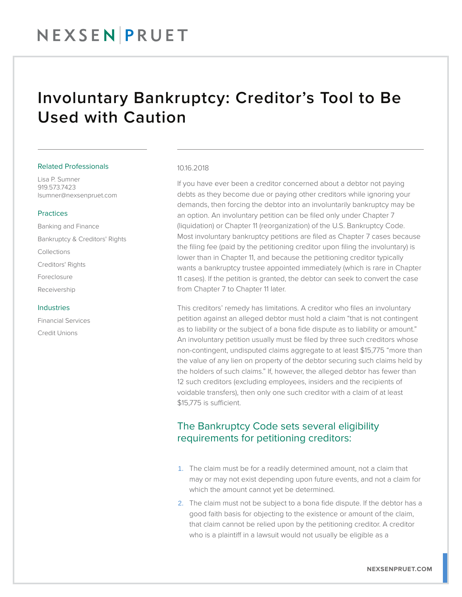## Involuntary Bankruptcy: Creditor's Tool to Be Used with Caution

#### Related Professionals

Lisa P. Sumner 919.573.7423 lsumner@nexsenpruet.com

### Practices

Banking and Finance Bankruptcy & Creditors' Rights Collections Creditors' Rights Foreclosure Receivership

#### Industries

Financial Services Credit Unions

#### 10.16.2018

If you have ever been a creditor concerned about a debtor not paying debts as they become due or paying other creditors while ignoring your demands, then forcing the debtor into an involuntarily bankruptcy may be an option. An involuntary petition can be filed only under Chapter 7 (liquidation) or Chapter 11 (reorganization) of the U.S. Bankruptcy Code. Most involuntary bankruptcy petitions are filed as Chapter 7 cases because the filing fee (paid by the petitioning creditor upon filing the involuntary) is lower than in Chapter 11, and because the petitioning creditor typically wants a bankruptcy trustee appointed immediately (which is rare in Chapter 11 cases). If the petition is granted, the debtor can seek to convert the case from Chapter 7 to Chapter 11 later.

This creditors' remedy has limitations. A creditor who files an involuntary petition against an alleged debtor must hold a claim "that is not contingent as to liability or the subject of a bona fide dispute as to liability or amount." An involuntary petition usually must be filed by three such creditors whose non-contingent, undisputed claims aggregate to at least \$15,775 "more than the value of any lien on property of the debtor securing such claims held by the holders of such claims." If, however, the alleged debtor has fewer than 12 such creditors (excluding employees, insiders and the recipients of voidable transfers), then only one such creditor with a claim of at least \$15,775 is sufficient.

## The Bankruptcy Code sets several eligibility requirements for petitioning creditors:

- 1. The claim must be for a readily determined amount, not a claim that may or may not exist depending upon future events, and not a claim for which the amount cannot yet be determined.
- 2. The claim must not be subject to a bona fide dispute. If the debtor has a good faith basis for objecting to the existence or amount of the claim, that claim cannot be relied upon by the petitioning creditor. A creditor who is a plaintiff in a lawsuit would not usually be eligible as a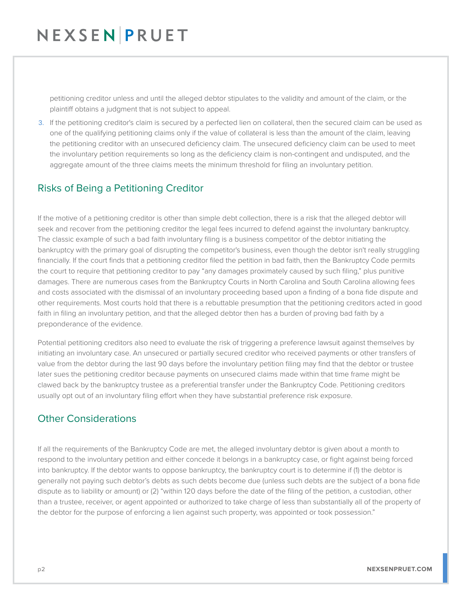# NEXSENPRUET

petitioning creditor unless and until the alleged debtor stipulates to the validity and amount of the claim, or the plaintiff obtains a judgment that is not subject to appeal.

3. If the petitioning creditor's claim is secured by a perfected lien on collateral, then the secured claim can be used as one of the qualifying petitioning claims only if the value of collateral is less than the amount of the claim, leaving the petitioning creditor with an unsecured deficiency claim. The unsecured deficiency claim can be used to meet the involuntary petition requirements so long as the deficiency claim is non-contingent and undisputed, and the aggregate amount of the three claims meets the minimum threshold for filing an involuntary petition.

## Risks of Being a Petitioning Creditor

If the motive of a petitioning creditor is other than simple debt collection, there is a risk that the alleged debtor will seek and recover from the petitioning creditor the legal fees incurred to defend against the involuntary bankruptcy. The classic example of such a bad faith involuntary filing is a business competitor of the debtor initiating the bankruptcy with the primary goal of disrupting the competitor's business, even though the debtor isn't really struggling financially. If the court finds that a petitioning creditor filed the petition in bad faith, then the Bankruptcy Code permits the court to require that petitioning creditor to pay "any damages proximately caused by such filing," plus punitive damages. There are numerous cases from the Bankruptcy Courts in North Carolina and South Carolina allowing fees and costs associated with the dismissal of an involuntary proceeding based upon a finding of a bona fide dispute and other requirements. Most courts hold that there is a rebuttable presumption that the petitioning creditors acted in good faith in filing an involuntary petition, and that the alleged debtor then has a burden of proving bad faith by a preponderance of the evidence.

Potential petitioning creditors also need to evaluate the risk of triggering a preference lawsuit against themselves by initiating an involuntary case. An unsecured or partially secured creditor who received payments or other transfers of value from the debtor during the last 90 days before the involuntary petition filing may find that the debtor or trustee later sues the petitioning creditor because payments on unsecured claims made within that time frame might be clawed back by the bankruptcy trustee as a preferential transfer under the Bankruptcy Code. Petitioning creditors usually opt out of an involuntary filing effort when they have substantial preference risk exposure.

## Other Considerations

If all the requirements of the Bankruptcy Code are met, the alleged involuntary debtor is given about a month to respond to the involuntary petition and either concede it belongs in a bankruptcy case, or fight against being forced into bankruptcy. If the debtor wants to oppose bankruptcy, the bankruptcy court is to determine if (1) the debtor is generally not paying such debtor's debts as such debts become due (unless such debts are the subject of a bona fide dispute as to liability or amount) or (2) "within 120 days before the date of the filing of the petition, a custodian, other than a trustee, receiver, or agent appointed or authorized to take charge of less than substantially all of the property of the debtor for the purpose of enforcing a lien against such property, was appointed or took possession."